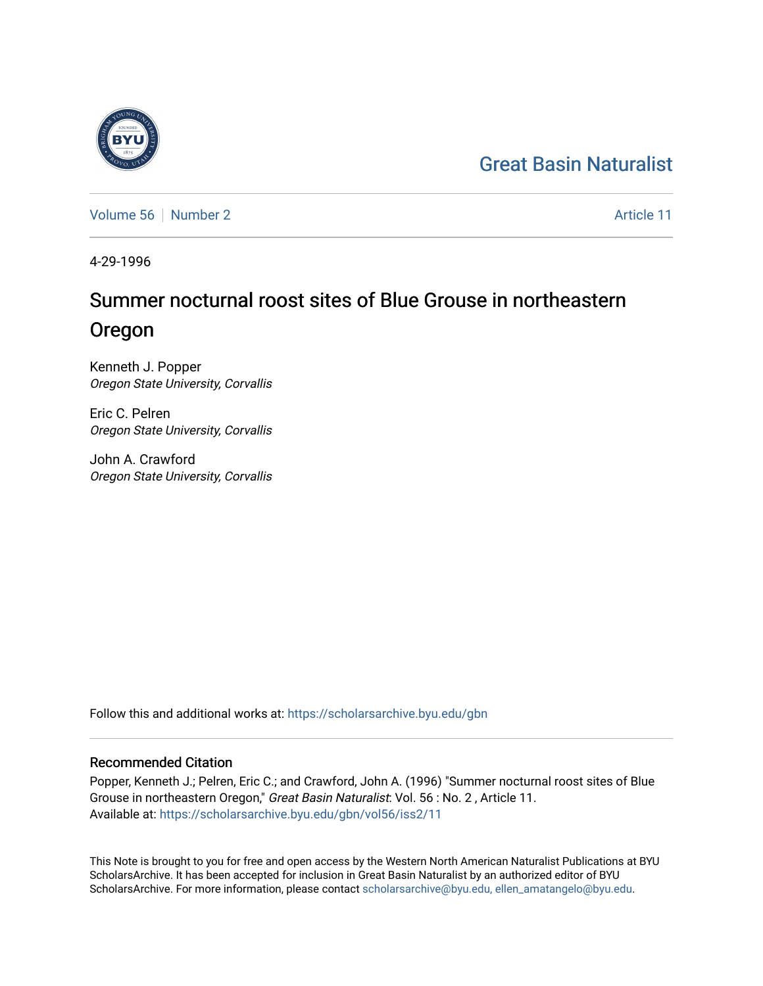#### [Great Basin Naturalist](https://scholarsarchive.byu.edu/gbn)

[Volume 56](https://scholarsarchive.byu.edu/gbn/vol56) [Number 2](https://scholarsarchive.byu.edu/gbn/vol56/iss2) Article 11

4-29-1996

#### Summer nocturnal roost sites of Blue Grouse in northeastern Oregon

Kenneth J. Popper Oregon State University, Corvallis

Eric C. Pelren Oregon State University, Corvallis

John A. Crawford Oregon State University, Corvallis

Follow this and additional works at: [https://scholarsarchive.byu.edu/gbn](https://scholarsarchive.byu.edu/gbn?utm_source=scholarsarchive.byu.edu%2Fgbn%2Fvol56%2Fiss2%2F11&utm_medium=PDF&utm_campaign=PDFCoverPages) 

#### Recommended Citation

Popper, Kenneth J.; Pelren, Eric C.; and Crawford, John A. (1996) "Summer nocturnal roost sites of Blue Grouse in northeastern Oregon," Great Basin Naturalist: Vol. 56 : No. 2 , Article 11. Available at: [https://scholarsarchive.byu.edu/gbn/vol56/iss2/11](https://scholarsarchive.byu.edu/gbn/vol56/iss2/11?utm_source=scholarsarchive.byu.edu%2Fgbn%2Fvol56%2Fiss2%2F11&utm_medium=PDF&utm_campaign=PDFCoverPages) 

This Note is brought to you for free and open access by the Western North American Naturalist Publications at BYU ScholarsArchive. It has been accepted for inclusion in Great Basin Naturalist by an authorized editor of BYU ScholarsArchive. For more information, please contact [scholarsarchive@byu.edu, ellen\\_amatangelo@byu.edu.](mailto:scholarsarchive@byu.edu,%20ellen_amatangelo@byu.edu)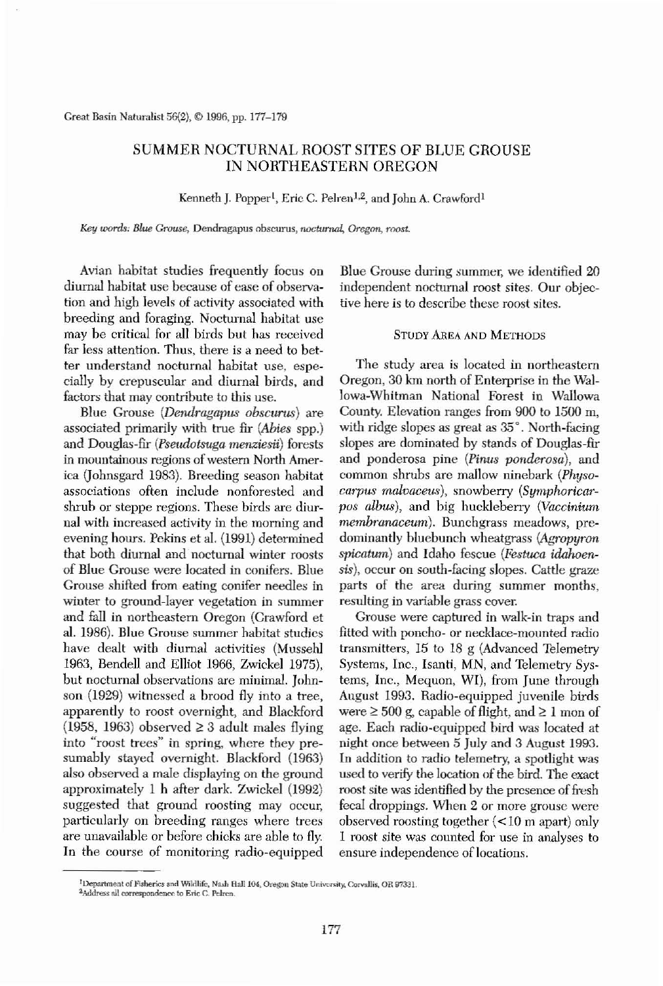**Greal Basin** Naturalist 56(2), **© 1996, pp.177-179**

# SUMMER NOCTURNAL ROOST SITES OF BLUE GROUSE IN NORTHEASTERN OREGON

**Kenneth J. Popper', Eric C. Pelren1,2, and John A. Crawford l**

**Key words;** *Blue Gtvuse,* **Dendrilgapus obscurus,** *noctumal, Oregon, roost.*

Avian habitat studies frequently focus on diurnal habitat use because of ease of observation and high levels of activity associated with breeding and foraging. Nocturnal habitat use may be critical for all birds but has received far less attention. Thus, there is a need to bet**ter understand nocturnal habitat use, espe**cially by crepuscular and diurnal birds, and **factors that may contribute to this use.**

Blue Grouse *(Dendragapus obscurus)* are associated primarily with true fir *(Abies* spp.)

**The study area is located in northeastern** Oregon, 30 km north of Enterprise in the Wallowa-Whitman National Forest in Wallowa County. Elevation ranges from 900 to 1500 m, with ridge slopes as great as 35°. North-facing slopes are dominated by stands of Douglas-fir and ponderosa pine *(Pinus ponderosa),* and common shrubs are mallow ninebark *(Physocarpus malvaceus),* snowberry *(Symphoricarpos albas),* and big huckleberry *(Vaccinium membranaceum).* Bunchgrass meadows, predominantly hluebunch wheatgrass *(Agropyron spicatum)* and Idaho fescue *(Festuca idahoen*sis), occur on south-facing slopes. Cattle graze parts of the area during summer months, **resulting in variable grass cover.** Grouse were captured in walk-in traps and fitted with poncho- or necklace-mounted radio transmitters, 15 to 18 g (Advanced Telemetry Systems, Inc., Isanti, MN, and Telemetry Systems, Inc., Mequon, WI), from June through August 1993. Radio-equipped juvenile birds were  $\geq 500$  g, capable of flight, and  $\geq 1$  mon of age. Each radio-equipped hird was located at night once between 5 July and 3 August 1993. **In** addition to radio telemetry, a spotlight was used to verify the location of the bird. The exact roost site was identified by the presence of fresh **fecal droppings. When 2 or more grouse were** observed roosting together  $\leq 10$  m apart) only **1 roost site was counted for use in analyses to ensure** independence of locations.

and Douglas-fir *(Pseudotsuga menziesii)* forests **in mountainous regions ofwestern North Amer**ica Uohnsgard 1983). Breeding season habitat **associations often include nonforested and shrub or steppe regions. These birds are diurnal with increased activity in the morning and** evening hours. Pckins et aJ. (1991) determined that both diurnal and nocturnal winter roosts of Blue Grouse were located in conifers. Blue Grouse shifted from eating conifer needles in **winter to ground-layer vegetation in summer** and fall in nortbeastern Oregon (Crawford et aI. 1986). Blue Grouse summer habitat studies have dealt with diurnal activities (Mussehl 1963, Bendell and Elliot 1966, Zwickel 1975), **but nocturnal observations are minimal. John**son (1929) witnessed a brood fly into a tree, apparently to roost overnight, and Blackford  $(1958, 1963)$  observed  $\geq 3$  adult males flying **into "roost trees" in spring, where they pre**sumably stayed overnight. Blackford (1963) also observed a male displaying on the ground approximately 1 b after dark. Zwickel (1992) **suggested that ground roosting may occur, particularly on breeding ranges where trees** are unavailable or before chicks are able to fly. In the course of monitoring radio-equipped

#### <sup>1</sup> Department of Fisherics and Wildlife, Nash Hall 104, Oregon State University, Corvallis, OR 97331.  $2$ Address all correspondence to Eric C, Pelren.

Blue Grouse during summer, we identified 20 **independent nocturnal roost sites. Our objective here is to describe these roost sites.**

## STUDY AREA AND METHODS

177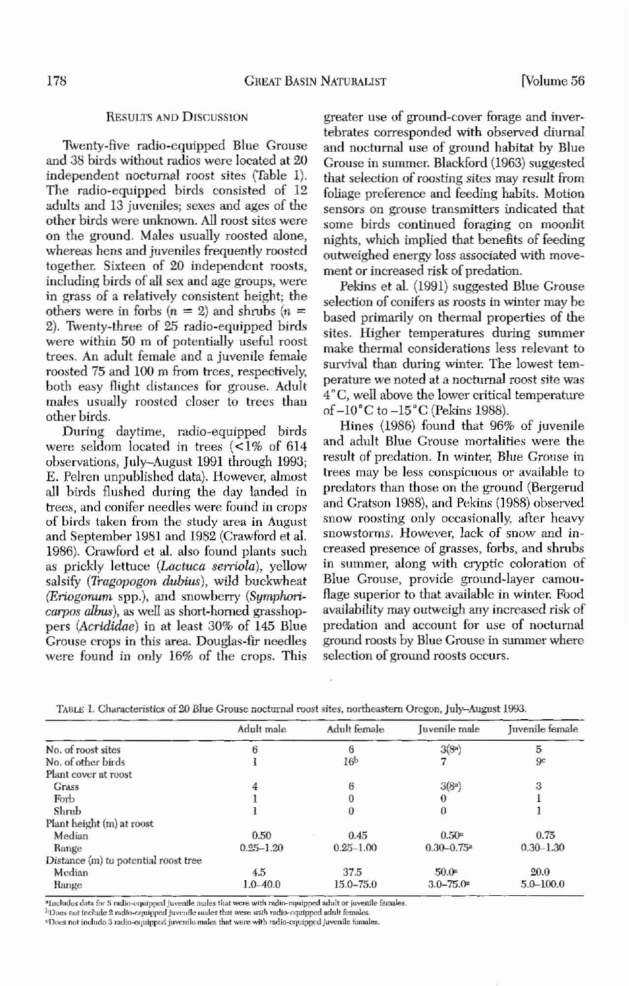## 178 GHEAT BASIN NATURALIST [Volume 56

### RESULTS ANO DISCUSSION

Twenty-five radio-equipped Blue Grouse and 38 birds without radios were located at 20 independent nocturnal roost sites (Table 1). The radio-equipped birds consisted of 12 adults and 13 *juveniles;* sexes and ages of the **other birds were unknown. All roost sites were** on the ground. Males usually roosted alone, wherea, hens and *juveniles* frequently roosted together. Sixteen of 20 independent roosts, including birds of all sex and age groups, were in grass of a relatively consistent height; the others were in forbs  $(n = 2)$  and shrubs  $(n = 1)$ 2). Twenty-three of 25 radio-equipped birds were within 50 m of potentially useful roost trees. An adult female and a juvenile female roosted 75 and 100 m from trees, respectively, both easy flight distances for grouse. Adult males usually roosted closer to trees than other birds.

Hines (1986) found that 96% of juvenile **and adult Blue Grouse mortalities were the result of predation. In winter, Blue Grouse in trees may be less conspicuous or available to** predators than those on the ground (Bergerud and Gratson 1988), and Pekins (1988) observed **snow roosting only occasionally, after heavy snowstorms. However, lack of snow and increased presence of grasses, forbs, and shrubs in summer, along with cryptic coloration of** Blue Grouse, provide ground-layer camon**flage superior to that available in winter. Food** availability may outweigh any increased risk of **predation and account for use of nocturnal ground roosts by Blue Grouse in summer where**  $s^{e}$  **selection** of ground roosts occurs.

During daytime, radio-equipped birds were seldom located in trees  $\leq 1\%$  of 614 observations, July-August 1991 through 1993; E. Pelren unpublished data). *However,* almost all birds flushed during the day landed in **trees, and conifer needles were fouild in crops of birds taken from the study area in August** and September 1981 and 1982 (Crawford et aJ. 1986). Crawford et aJ. also found plants such as prickly lettuce (Lactuca serriola), yellow salsify *(Tragopogon dubius),* wild buckwheat *(Eriogonum spp.)*, and snowberry *(Symphori*carpos albus), as well as short-homed grasshoppers *(Acrididae)* in at least 30% of 145 Blue Grouse crops in this area. Douglas-fir needles were found in only 16% of the crops. This **greater use of ground-cover forage and inver**tebrates corresponded witb observed diurnal and nocturnal use of ground habitat by Blue Grouse in summer. Blackford (1963) suggested that selection of roosting sites may result from foliage preference and feeding hahits. Motion **sensors on grouse transmitters indicated that some birds continued foraging on moonlit** nights, whicb implied that benefits of feeding outweighed energy loss associated with *move***ment or increased risk of predation.**

Pekins et aI. (1991) snggested Blue Grouse **seJection of conifers as roosts in winter may he** based primarily on thermal properties of the **sites. Higher temperatures during summer make thermal considerations less relevant to survival than during winter. The lowest** tem~ **perature we noted at a nochlmal roost site was** *4 ·C,* well *above* the lower critical temperature of*-W·C* to *-15·C* (Pekins 1988).

|                                      | Adult male    | Adult female    | Juvenile male              | Juvenile female |
|--------------------------------------|---------------|-----------------|----------------------------|-----------------|
| No. of roost sites                   | 6             | 6               | 3(8 <sup>a</sup> )         | 5               |
| No. of other birds                   |               | 16 <sup>b</sup> |                            | 9c              |
| Plant cover at roost                 |               |                 |                            |                 |
| Grass                                | 4             | 6               | 3(8a)                      | 3               |
| Forb                                 |               |                 |                            |                 |
| Shrub                                |               |                 | $\bf{0}$                   |                 |
| Plant height (m) at roost            |               |                 |                            |                 |
| Median                               | 0.50          | 0.45            | 0.50 <sup>a</sup>          | 0.75            |
| Range                                | $0.25 - 1.20$ | $0.25 - 1.00$   | $0.30 - 0.75$ <sup>a</sup> | $0.30 - 1.30$   |
| Distance (m) to potential roost tree |               |                 |                            |                 |
| Median                               | 4.5           | 37.5            | 50.0ª                      | 20.0            |
| Range                                | $1.0 - 40.0$  | $15.0 - 75.0$   | $3.0 - 75.0*$              | $5.0 - 100.0$   |

**n.nw 1. Clutr.tderistic'i 01"20 Blue Grouse nocturnal roost .tites, northea.'item Oregon, July-August 1993.**











#### <sup>a</sup> Includes data for 5 radio-equipped juvenile males that were with radio-equipped adult or juvenile females. **b**Does not include 2 radio-equipped juvenile males that were with radio-equipped adult females.  $E$  **100**  $\alpha$  **IDoes** not include 3 radio-equipped juvenile males that were with radio-equipped juvenile females.